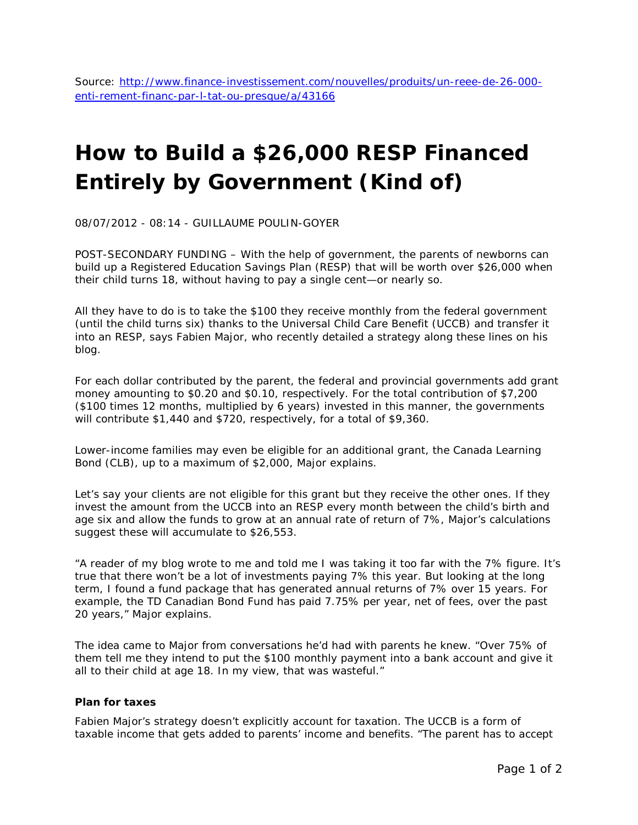Source: [http://www.finance-investissement.com/nouvelles/produits/un-reee-de-26-000](http://www.finance-investissement.com/nouvelles/produits/un-reee-de-26-000-enti-rement-financ-par-l-tat-ou-presque/a/43166) [enti-rement-financ-par-l-tat-ou-presque/a/43166](http://www.finance-investissement.com/nouvelles/produits/un-reee-de-26-000-enti-rement-financ-par-l-tat-ou-presque/a/43166)

## **How to Build a \$26,000 RESP Financed Entirely by Government (Kind of)**

08/07/2012 - 08:14 - GUILLAUME POULIN-GOYER

POST-SECONDARY FUNDING – With the help of government, the parents of newborns can build up a Registered Education Savings Plan (RESP) that will be worth over \$26,000 when their child turns 18, without having to pay a single cent—or nearly so.

All they have to do is to take the \$100 they receive monthly from the federal government (until the child turns six) thanks to the Universal Child Care Benefit (UCCB) and transfer it into an RESP, says Fabien Major, who recently detailed a strategy along these lines on his blog.

For each dollar contributed by the parent, the federal and provincial governments add grant money amounting to \$0.20 and \$0.10, respectively. For the total contribution of \$7,200 (\$100 times 12 months, multiplied by 6 years) invested in this manner, the governments will contribute \$1,440 and \$720, respectively, for a total of \$9,360.

Lower-income families may even be eligible for an additional grant, the Canada Learning Bond (CLB), up to a maximum of \$2,000, Major explains.

Let's say your clients are not eligible for this grant but they receive the other ones. If they invest the amount from the UCCB into an RESP every month between the child's birth and age six and allow the funds to grow at an annual rate of return of 7%, Major's calculations suggest these will accumulate to \$26,553.

"A reader of my blog wrote to me and told me I was taking it too far with the 7% figure. It's true that there won't be a lot of investments paying 7% this year. But looking at the long term, I found a fund package that has generated annual returns of 7% over 15 years. For example, the TD Canadian Bond Fund has paid 7.75% per year, net of fees, over the past 20 years," Major explains.

The idea came to Major from conversations he'd had with parents he knew. "Over 75% of them tell me they intend to put the \$100 monthly payment into a bank account and give it all to their child at age 18. In my view, that was wasteful."

## **Plan for taxes**

Fabien Major's strategy doesn't explicitly account for taxation. The UCCB is a form of taxable income that gets added to parents' income and benefits. "The parent has to accept